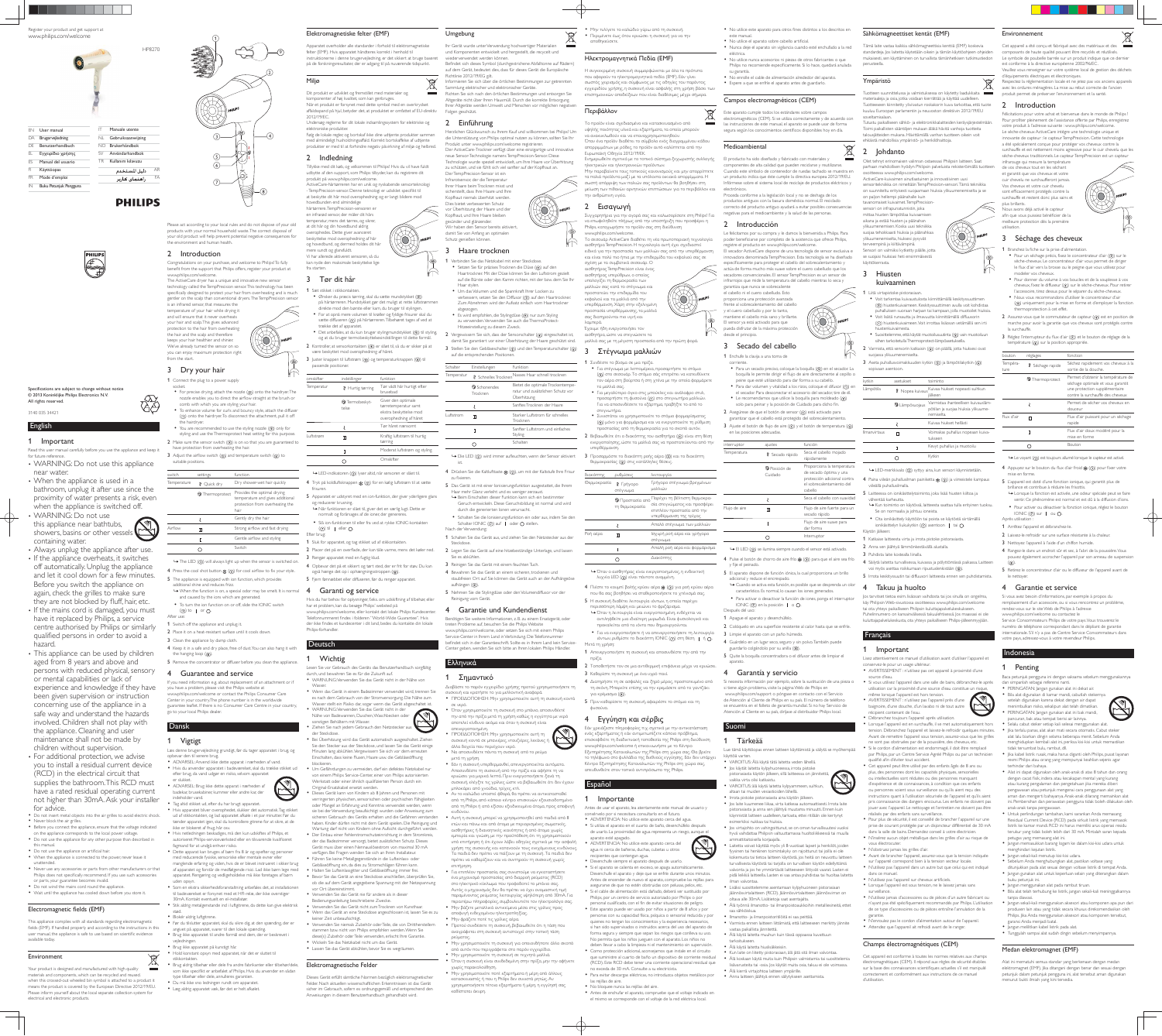DA Brugervejledning DE Benutzerhandbuch EL Eγχειρίδιο χρήσης ES Manual del usuario FI Käyttöopas FR Mode d'emploi IN Buku Petunjuk Pengguna

EN User manual Manuale utente NL Gebruiksaanwijzing

> NO Brukerhåndbok  $SV$  Användarhandbol TR Kullanım kılayuzı

> > دليل المستخدم راهنمای کاربر

**PHILIPS** 

AR FA

English

1 Important

WARNING: Do not use this appliance near bathtubs, showers, basins or other vessels

Read this user manual carefully before you use the appliance and keep it

for future reference.

WARNING: Do not use this appliance

near water.

bathroom, unplug it after use since the proximity of water presents a risk, even when the appliance is switched off.

• Always unplug the appliance after use. • If the appliance overheats, it switches off automatically. Unplug the appliance and let it cool down for a few minutes. Before you switch the appliance on again, check the grilles to make sure they are not blocked by fluff, hair, etc. • If the mains cord is damaged, you must have it replaced by Philips, a service centre authorised by Philips or similarly qualified persons in order to avoid a

• This appliance can be used by children aged from 8 years and above and persons with reduced physical, sensory

experience and knowledge if they have been given supervision or instruction concerning use of the appliance in a safe way and understand the hazards involved. Children shall not play with the appliance. Cleaning and user maintenance shall not be made by children without supervision. • For additional protection, we advise

containing water.

• Before you connect the appliance, ensure that the voltage indicated on the appliance corresponds to the local power voltage Do not use the appliance for any other purpose than described in

 Never use any accessories or parts from other manufacturers or that Philips does not specifically recommend. If you use such accessories

• When the appliance is used in a

hazard.

or mental capabilities or lack of

This appliance complies with all standards regarding electromagnetic fields (EMF). If handled properly and according to the instructions in this user manual, the appliance is safe to use based on scientific evidence

(RCD) in the electrical circuit that supplies the bathroom. This RCD must have a rated residual operating current not higher than 30mA. Ask your installer

for advice.

Do not insert metal objects into the air grilles to avoid electric shock.

3 Dry your hair 1 Connect the plug to a power supply

this manual.

When the appliance is connected to the power, never leave it

unattended.

or parts, your guarantee becomes invalid. Do not wind the mains cord round the appliance. Wait until the appliance has cooled down before you store it.

Electromagnetic fields (EMF)

available today.

Environment

Your product is designed and manufactured with high quality materials and components, which can be recycled and reused. when this crossed-out wheeled bin symbol is attached to a product it means the product is covered by the European Directive 2012/19/EU. Please inform yourself about the local separate collection system for

electrical and electronic products.

• Never block the air grilles.

• Do not use the appliance on artificial hair.

## guarantee leaflet. If there is no Consumer Care Centre in your country, go to your local Philips dealer. Dansk

Please act according to your local rules and do not dispose of your old products with your normal household waste. The correct disposal of your old product will help prevent potential negative consequences for the environment and human health.

# 2 Introduction

Congratulations on your purchase, and welcome to Philips! To fully benefit from the support that Philips offers, register your product at www.philips.com/welcome. The ActiveCare dryer has a unique and innovative new sensor

technology called the TempPrecision sensor. This technology has been specifically designed to protect your hair from over-heating and is much gentler on the scalp than conventional dryers. The TempPrecision sensor is an infrared sensor, that measures the temperature of your hair while drying it and will ensure that it never overheats your hair and scalp. This gives advanced protection to the hair from overheating the hair and the scalp and therefore keeps your hair healthier and shinier. We've already turned the sensor on so you can enjoy maximum protection right from the start.



you to install a residual current device 1 Vigtigt Læs denne brugervejledning grundigt, før du tager apparatet i brug, og opbevar den til senere brug. ADVARSEL: Anvend ikke dette apparat i nærheden af vand.

ammlung elektrischer und elektronischer Geräte. Richten Sie sich nach den örtlichen Bestimmungen und entsorgen Sie Altgeräte nicht über Ihren Hausmüll. Durch die korrekte Entsorgung Ihrer Altgeräte werden Umwelt und Menschen vor möglichen negativer Folgen geschützt.

- socket.  $\bullet$  For precise drying, attach the nozzle  $(\circledast)$  onto the hairdryer. The nozzle enables you to direct the airflow straight at the brush or
- comb with which you are styling your hair. To enhance volume for curls and bouncy style, attach the diffuser  $($ ( $\dot{ }$ )) onto the hairdryer. To disconnect the attachment, pull it off the hairdryer.
- You are recommended to use the styling nozzle  $(\textcircled{\small{0}})$  only for styling and use the Thermoprotect heat setting for this purpose. 2 Make sure the sensor switch  $(Q)$  is on so that you are guaranteed to
- have protection from overheating the hair. 3 Adjust the airflow switch  $( \circledS )$  and temperature switch  $( \circledA )$  to suitable positions.

#### 3 Haare trocknen 1 Verbinden Sie das Netzkabel mit einer Steckdose. • Setzen Sie für präzises Trocknen die Düse (@) auf den

| switch      | settings       | function                                                                                                   |
|-------------|----------------|------------------------------------------------------------------------------------------------------------|
| Temperature | ∛<br>Ouick dry | Dry shower-wet hair quickly                                                                                |
|             | Thermoprotect  | Provides the optimal drying<br>temperature and gives additional<br>protection from overheating the<br>hair |
|             |                | Gently dry the hair                                                                                        |
| Airflow     | п              | Strong airflow and fast drying                                                                             |
|             |                | Gentle airflow and styling                                                                                 |
|             |                | Switch                                                                                                     |

- 4 Press the cool shot button  $\frac{1}{2K}\left( \Omega \right)$  for cool airflow to fix your style.
- 5 The appliance is equipped with ion function, which provides additional shine and reduces frizz.  $\mapsto$  When the function is on, a special odor may be smelt. It is normal  $\quad$  4 Garanti og service
- nd caused by the ions which are generatec To turn the ion function on or off, slide the IONIC switch
- $((7))$  to | or  $\bigcirc$ . After use:
- 1 Switch off the appliance and unplug it.
- 2 Place it on a heat-resistant surface until it cools down.
- 3 Clean the appliance by damp cloth. 4 Keep it in a safe and dry place, free of dust. You can also hang it with
- the hanging loop  $(8)$ . 5 Remove the concentrator or diffuser before you clean the appliance.

Haartrockner. Mit der Düse können Sie den Luftstrom gezielt auf die Bürste oder den Kamm richten, mit der bzw. dem Sie Ihr Haar stylen.

 Um das Volumen und die Spannkraft Ihrer Locken zu verbessern, setzen Sie den Diffusor (1) auf den Haartrockner Zum Abnehmen wird der Aufsatz einfach vom Haartrockner abgezogen.<br>• Es wird empfohlen, die Stylingdüse (⑨) nur zum Styling

zu verwenden. Verwenden Sie auch die ThermoProtect

2 Vergewissern Sie sich, dass der Sensorschalter  $(4)$ ) eingeschaltet ist, damit Sie garantiert vor einer Überhitzung der Haare geschützt sind. 3 Stellen Sie den Gebläseschalter  $(\textcircled{s})$  und den Temperaturschalter  $(\textcircled{s})$ 

Temperatur & Schnelles Trocknen Nasses Haar schnell trocknen

Luftstrom  $\pi$  Starker Luftstrom für schnelles

**<sup>2</sup>** Schonendes Trocknen

> Styling **Schalter**

4 Drücken Sie die Kaltlufttaste « (3), um mit der Kaltstufe Ihre Frisur

5 Das Gerät ist mit einer Ionisierungsfunktion ausgestattet, die Ihrem

## 4 Guarantee and service

If you need information e.g. about replacement of an attachment or if you have a problem, please visit the Philips website at www.philips.com/welcome or contact the Philips Consumer Care Center in your country.The phone number is in the worldwide

- Hvis du anvender apparatet i badeværelset, skal du trække stikket ud efter brug, da vand udgør en risiko, selvom apparatet
- er slukket. ADVARSEL: Brug ikke dette apparat i nærheden af badekar, brusekabiner, kummer eller andre kar, der indeholder vand.
- Tag altid stikket ud, efter du har brugt apparatet. Hvis apparatet bliver overophedet, slukker det automatisk. Tag stikket ud af stikkontakten, og lad apparatet afkøle i et par minutter. Før du tænder apparatet igen, skal du kontrollere gitrene for at sikre, at de
- ikke er blokeret af fnug, hår osv. Hvis netledningen beskadiges, må den kun udskiftes af Philips, et autoriseret Philips-serviceværksted eller en tilsvarende kvalificeret
- fagmand for at undgå enhver risiko. Dette apparat kan bruges af børn fra 8 år og opefter og personer med reducerede fysiske, sensoriske eller mentale evner eller
- manglende erfaring og viden, hvis de er blevet instrueret i sikker brug af apparatet og forstår de medfølgende risici. Lad ikke børn lege med apparatet. Rengøring og vedligeholdelse må ikke foretages af børn uden opsyn. • Som en ekstra sikkerhedsforanstaltning anbefales det, at installationer
- til badeværelset er forsynet med et HFI-relæ, der ikke overstiger 30mA. Kontakt eventuelt en el-installatør. Stik aldrig metalgenstande ind i luftgitrene, da dette kan give elektrisk
- stød. Blokér aldrig luftgitrene.
- Før du tilslutter apparatet, skal du sikre dig, at den spænding, der er angivet på apparatet, svarer til den lokale spændin Brug ikke apparatet til andre formål end dem, der er beskrevet i
- vejledningen. Brug ikke apparatet på kunstigt hår.
- Hold konstant opsyn med apparatet, når det er sluttet til stikkontakten.
- Brug aldrig tilbehør eller dele fra andre fabrikanter eller tilbehør/dele, som ikke specifikt er anbefalet af Philips. Hvis du anvender en sådan type tilbehør eller dele, annulleres garantien. Du må ikke sno ledningen rundt om apparatet.
- Læg aldrig apparatet væk, før det er helt afkølet.

ੇ⇔

# Elektromagnetiske felter (EMF)

Tämä laite vastaa kaikkia sähkömagneettisia kenttiä (EMF) koskevia standardeja. Jos laitetta käytetään oikein ja tämän käyttöohjeen ohjeiden mukaisesti, sen käyttäminen on turvallista tämänhetkisen tutkimustiedon perusteella.

**Environnement** 

#### teen suunnittelussa ja valmistuksessa on käytetty laadukkaita materiaaleja ja osia, jotka voidaan kierrättää ja käyttää uudelleen. Tuotteeseen kiinnitetty yliviivatun roskakorin kuva tarkoittaa, että tuote kuuluu Euroopan parlamentin ja neuvoston direktiivin 2012/19/EU

parhaan mahdollisen hyödyn Philipsin palveluista rekisteröimällä tuottee eessa www.philips.com/welcome ActiveCare-kuivaimen ainutlaatuinen ja innovatiivinen uusi sensoritekniikka on nimeltään TempPrecision-sensori. Tämä tekniikka on suunniteltu erityisesti suojaamaan hiuksia ylikuumenemiselta ja se on paljon hellempi päänahalle kuin tavanomaiset kuivaimet. TempPrecisionsensori on infrapunatunnistin, joka mittaa hiusten lämpötilaa kuivaamisen aikana ja estää hiusten ja päänahan likuumenemisen. Koska uusi tekniikka suojaa tehokkaasti hiuksia ja päänahkaa ylikuumenemiselta, hiuksesi pysyvät erveempinä ja kiiltävämpinä. Sensori on valmiiksi kytketty päälle, jotta se suojaisi hiuksiasi heti ensimmäisestä käyttökerrasta.

#### **Hiusten**

# Umgebung

und Komponenten entwickelt und hergestellt, die recycelt und wiederverwendet werden können. Befindet sich dieses Symbol (durchgestrichene Abfalltonne auf Rädern) auf dem Gerät, bedeutet dies, dass für dieses Gerät die Europäische Richtlinie 2012/19/EG gilt. Informieren Sie sich über die örtlichen Bestimmungen zur getrennten

 $\forall$ 

Ihr Gerät wurde unter Verwendung hochwertiger Materialien

> Ota ionikäsittely käyttöön tai poista se käytöstä siirtämällä ionikäsittelyn liukukytkin  $(2)$  asentoon | tai  $\bigcirc$ .

#### 2 Einführung Herzlichen Glückwunsch zu Ihrem Kauf und willkommen bei Philips! Um die Unterstützung von Philips optimal nutzen zu können, sollten Sie Ihr

4 Säilytä laitetta turvallisessa, kuivassa ja pölyttömässä paikassa. Laitteen voi myös asettaa roikkumaan ripustuslenkistään (®). 5 Irrota keskityssuutin tai diffuusori laitteesta ennen sen puhdistamista.

Produkt unter www.philips.com/welcome registrieren. Der ActiveCare-Trockner verfügt über eine einzigartige und innovative neue Sensor-Technologie namens TempPrecision-Sensor. Diese Technologie wurde speziell entwickelt, um Ihre Haare vor Überhitzung zu schützen, und sie fühlt sich viel sanfter auf der Kopfhaut an. Der TempPrecision-Sensor ist ein Infrarotsensor, der die Temperatur Ihrer Haare beim Trocknen misst und sicherstellt, dass Ihre Haare und Ihre

Kopfhaut niemals überhitzt werden. Dies bietet verbesserten Schutz vor Überhitzung der Haare und der Kopfhaut, und Ihre Haare bleiben

gesünder und glänzender. Wir haben den Sensor bereits aktiviert, damit Sie von Anfang an optimalen Schutz genießen können.

Hitzeeinstellung zu diesem Zweck.

auf die entsprechenden Positionen.

Schalter Einstellungen Funktion

Cet appareil est conforme à toutes les normes relatives aux champs électromagnétiques (CEM). Il répond aux règles de sécurité établies sur la base des connaissances scientifiques actuelles s'il est manipulé correctement et conformément aux instructions de ce manuel

Champs électromagnétiques (CEM)

Bietet die optimale Trockentemperatur und zusätzlichen Schutz vor

Überhitzung

Sanftes Trocknen der Haare

Trocknen

Sanfter Luftstrom und einfaches

Poή aέ

ist.

 $\mathbf{I}$ 

 $\bigcirc$ 

zu fixieren.

elektroniske produkte Følg de lokale regler, og bortskaf ikke dine udtjente produkter sammen med almindeligt husholdningsaffald. Korrekt bortskaffelse af udtjente produkter er med til at forhindre negativ påvirkning af miljø og helbred.

> Haar mehr Glanz verleiht und es weniger zerzaust. → Beim Einschalten dieser Funktion kann sich ein bestimmte Geruch entwickeln. Diese Geruchsbildung ist normal und wird

Schalter IONIC  $(2)$  auf | oder  $\bigcirc$  stellen.

durch die generierten Ionen verursacht.

Schalten Sie die Ionisierungsfunktion ein oder aus, indem Sie den

Nach der Verwendung:

#### 3 Tør dit hår 1 Sæt stikket i stikkontakter.

- $\bullet$  Ønsker du præcis tørring, skal du sætte mundstykket  $(③)$ på hårtørreren. Mundstykket gør det muligt at rette luftstrømmer direkte mod den børste eller kam, du bruger til stylingen. For at opnå mere volumen til krøller og fyldige frisurer skal du
- sætte diffuseren (1) på hårtørreren. Tilbehøret tages af ved at trække det af apparatet. · Det anbefales, at du kun bruger stylingmundstykket ((9) til styling, og at du bruger termobeskyttelsesindstillingen til dette formål.
- 2 Kontroller, at sensorkontakten  $(Q)$  er slået til, så du er sikker på at
- være beskyttet mod overophedning af håret.
- 3 Juster knappen til luftstrøm  $( \circledS )$  og temperaturknappen  $( \circledS )$  til passende positioner.

1 Schalten Sie das Gerät aus, und ziehen Sie den Netzstecker aus der

2 Legen Sie das Gerät auf eine hitzebeständige Unterlage, und lassen

Steckdose.

• Μην τυλίγετε το καλώδιο γύρω από τη συσκευή. • Περιμένετε έως ότου κρυώσει η συσκευή για να την αποθηκεύσετε

# Ηλεκτρομαγνητικά Πεδία (EMF)

Η συγκεκριμένη συσκευή συμμορφώνεται με όλα τα πρότυπο που αφορούν τα ηλεκτρομαγνητικά πεδία (ΕΜΕ), Εάν γίνει σωστός χειρισμός και σύμφωνος με τις οδηγίες του παρόντος εγχειριδίου χρήσης, η συσκευή είναι ασφαλής στη χρήση βάσει των επιστημονικών αποδείξεων που είναι διαθέσιμες μέχρι σήμερα.

# Περιβάλλον

Το προϊόν είναι σχεδιασμένο και κατασκευασμένο από υψηλής ποιότητας υλικά και εξαρτήματα, τα οποία μπορούν να ανακυκλωθούν και να επαναχρησιμοποιηθούν Όταν ένα προϊόν διαθέτει το σύμβολο ενός διαγραμμένου κάδοι

απορριμμάτων με ρόδες, το προϊόν αυτό καλύπτεται από την Ξυρωπαϊκή Οδηγία 2012/19/ΕΚ. Ενημερωθείτε σχετικά με το τοπικό σύστημα ξεχωριστής συλλογής

ηλεκτρικών και ηλεκτρονικών προϊόντων Μην παραβαίνετε τους τοπικούς κανονισμούς και μην απορρίπτετε τα παλιά προϊόντα μαζί με τα υπόλοιπα οικιακά απορρίμματα. Η σωστή απόρριψη των παλιών σας προϊόντων θα βοηθήσει στη μείωση των πιθανών αρνητικών επιπτώσεων για το περιβάλλον και

## 2 Εισαγωγή

την ανθρώπινη υγεία.

Συγχαρητήρια για την αγορά σας και καλωσορίσατε στη Philips! Για να επωφεληθείτε πλήρως από την υποστήριξη που προσφέρει η Philips, καταχωρήστε το προϊόν σας στη διεύθυνση

Sie es abkühlen.

aufhängen (®).

| Ελληνικά

σε νερό.

1 Σημαντικό

απενερνοποιημένη.

μετά τη χρήση.

κινδύνου

επιτήρηση.

ρεύματος,

χωρίς παρακολούθηση.

καθίσταται άκυρη.

άλλα δοχεία που περιέχουν νερό

μπλοκάρει από χνούδια, τρίχες, κτλ.

3 Reinigen Sie das Gerät mit einem feuchten Tuch. 4 Bewahren Sie das Gerät an einem sicheren, trockenen und staubfreien Ort auf. Sie können das Gerät auch an der Aufhängeöse

5 Nehmen Sie die Stylingdüse oder den Volumendiffusor vor der

Reinigung vom Gerät.

4 Garantie und Kundendienst Benötigen Sie weitere Informationen, z. B. zu einem Ersatzgerät, oder

Διαβάστε το παρόν εγχειρίδιο χρήσης προτού χρησιμοποιήσετε π

• ΠΡΟΕΙΔΟΠΟΙΗΣΗ: Μην χρησιμοποιείτε αυτή τη συσκευή κοντά

• Όταν χρησιμοποιείτε τη συσκευή στο μπάνιο, αποσυνδέετέ την από την πρίζα μετά τη χρήση καθώς η εγγύτητα με νερό αποτελεί κίνδυνο ακόμα και όταν η συσκευή είναι

• Fáv η συσκευή υπερθερμανθεί, απενεργοποιείται αυτόματα. Αποσυνδέστε τη συσκευή από την πρίζα και αφήστε τη να κρυώσει για μερικά λεπτά. Πριν ενεργοποιήσετε ξανά τη συσκευή, ελέγξτε τις γρίλιες ώστε να βεβαιωθείτε ότι δεν έχουν

• Αν το καλώδιο υποστεί φθορά, θα πρέπει να αντικατασταθε από τη Philips, από κάποιο κέντρο επισκευών εξουσιοδοτημένο από τη Philips ή από εξίσου εξειδικευμένα άτομα, προς αποφυγή

 $\bullet\,$  Αυτή η συσκευή μπορεί να χρησιμοποιηθεί από παιδιά από 8 ετών και πάνω και από άτομα με περιορισμένες σωματικές, αισθητήριες ή διανοητικές ικανότητες ή από άτομα χωρίς εμπειρία και γνώση, με την προϋπόθεση ότι τη χρησιμοποιούν υπό επιτήρηση ή ότι έχουν λάβει οδηγίες σχετικά με την ασφαλή χρήση της συσκευής και κατανοούν τους ενεχόμενους κινδύνους. Τα παιδιά δεν πρέπει να παίζουν με τη συσκευή. Τα παιδιά δεν πρέπει να καθαρίζουν και να συντηρούν τη συσκευή χωρίς

• Για επιπλέον προστασία, σας συνιστούμε να εγκαταστήσετε ένα μηχανισμό προστασίας από διαρροή ρεύματος (RCD) στο ηλεκτρικό κύκλωμα που τροφοδοτεί το μπάνιο σας. Αυτός ο μηχανισμός δεν θα πρέπει να έχει ονομαστική τιμή παραμένοντος ρεύματος λειτουργίας υψηλότερη από 30mA. Για περαιτέρω πληροφορίες, συμβουλευτείτε τον ηλεκτρολόγο σας.  $\bullet\,$  Μην βάζετε μεταλλικά αντικείμενα μέσα στις γρίλιες προς

• Προτού συνδέσετε τη συσκευή, βεβαιωθείτε ότι η τάση που αναγράφεται στη συσκευή αντιστοιχεί στην τοπική τάση

• Μην χρησιμοποιείτε τη συσκευή για οποιονδήποτε άλλο σκοπό από αυτόν που περιγράφεται στο παρόν εγχειρίδιο. • Μην χρησιμοποιείτε τη συσκευή σε τεχνητά μαλλιά

• Όταν η συσκευή είναι συνδεδεμένη στην πρίζα, μην την αφήνετε

Μην χρησιμοποιείτε ποτέ εξαρτήματα ή μέρη από άλλους κατασκευαστές ή που η Philips δεν συνιστά ρητώς. Αν χρησιμοποιήσετε τέτοια εξαρτήματα ή μέρη, η εγγύησή σας

αποφυγή ενδεχομένου ηλεκτροπληξίας. • Μην φράζετε ποτέ τις γρίλιες αέρα.

treten Probleme auf, besuchen Sie die Philips Website www.philips.com/welcome, oder setzen Sie sich mit einem Philips Service-Center in Ihrem Land in Verbindung. Die Telefonnummer befindet sich in der Garantieschrift. Sollte es in Ihrem Land kein Service-Center geben, wenden Sie sich bitte an Ihren lokalen Philips Händler.

συσκευή και κρατήστε το για μελλοντική αναφορά.

• ΠΡΟΕΙΔΟΠΟΙΗΣΗ: Μην χρησιμοποιείτε αυτή τη συσκευή κοντά σε μπανιέρες, ντουζιέρες, λεκάνες

• Να αποσυνδέετε πάντα τη συσκευή από το ρεύμα

el cabello ni el cuero cabelludo. Esto proporciona una protección avanzada frente al sobrecalentamiento del cabello y el cuero cabelludo y, por lo tanto, mantiene el cabello más sano y brillante. El sensor ya está activado para que .<br>Dueda disfrutar de la máxima protecció

### Ympäristö

- corriente. • Para un secado preciso, coloque la boquilla ((9) en el secador. La
- boquilla le permite dirigir el fluio de aire directamente al cepillo o peine que esté utilizando para dar forma a su cabello.
- Para dar volumen y vitalidad a los rizos, coloque el difusor  $(0)$  en el secador. Para desconectar el accesorio del secador, tire de él.  $\bullet$  Le recomendamos que utilice la boquilla para moldeado  $(\circledast)$
- solo para peinar y la posición de Cuidado para dicho fin. 2 Asegúrese de que el botón de sensor  $(4)$ ) está activado para garantizar que el cabello está protegido del sobrecalentamiento.
- 3 Aiuste el botón de fluio de aire  $(5)$  v el botón de temperatura  $(6)$

soveltamisalaan.

Tutustu paikalliseen sähkö- ja elektroniikkalaitteiden keräysjärjestelmään. Toimi paikallisten sääntöjen mukaan äläkä hävitä vanhoja tuotteita talousjätteiden mukana. Hävittämällä vanhan tuotteen oikein voit ehkäistä mahdollisia ympäristö- ja henkilöhaittoja.

#### 2 Johdanto Olet tehnyt erinomaisen valinnan ostaessasi Philipsin laitteen. Saat

 $\sim 100$ 

Flujo de aire suave para  $\mathbf{I}$ dar forma Interruptor  $\circ$ 

- $\rightarrow$  El LED ( $\alpha$ ) se ilumina siempre cuando el sensor está activado 4 Pulse el botón de chorro de aire frío  $\frac{4}{56}$  (3) para que el aire sea frío y fije el peinado.
- 5 El aparato dispone de función iónica, la cual proporciona un brillo adicional y reduce el encrespado. » Cuando se activa esta función, es posible que se desprenda un olor
- característico. Es normal, lo causan los iones generados. Para activar o desactivar la función de iones, ponga el interruptor
- IONIC  $(7)$  en la posición |  $\circ$  O. Después del uso:
- 1 Apague el aparato y desenchúfelo.
- 2 Colóquelo en una superficie resistente al calor hasta que se enfríe.
- 3 Limpie el aparato con un paño húmedo.
- 4 Guárdelo en un lugar seco, seguro y sin polvo. También puede
- guardarlo colgándolo por su anilla (®). 5 Quite la boquilla concentradora o el difusor antes de limpiar el aparato.

#### Garantía y servicio

## kuivaaminen

- 1 Liitä virtapistoke pistorasiaan. Voit tarkentaa kuivaustulosta kiinnittämällä keskityssuuttimen (9) hiustenkuivaimeen. Keskityssuuttimen avulla voit kohdistaa puhalluksen suoraan harjaan tai kampaan, jolla muotoilet hiuksia. Voit lisätä runsautta ja ilmavuutta kiinnittämällä diffuusorin  $($ ( $)$ ) hiustenkuivaimeen. Voit irrottaa lisäosan vetämällä sen irti
- hiustenkuivaimesta. • Suosittelemme, että käytät muotoilusuutinta ((9) vain muotoiluun siihen tarkoitetulla Thermoprotect-lämpöasetuksella.
- $2$  Varmista, että sensorin katkaisin  $(4)$  on päällä, jotta hiuksesi ovat suojassa ylikuumenemiselta.
- 3 Aseta puhallusvoimakkuuden kytkin  $(5)$  ja lämpötilakytkin  $(6)$ sopivaan asentoon.
- asetukset toiminto
- Lämpötila Nopea kuivausKuivaa hiukset nopeasti suihkun jälkeen Lämpösuojaus Varmistaa ihanteellisen kuivauslämpötilan ja suojaa hiuksia ylikuumenemiselta. Kuivaa hiukset hellästi Imanvirtaus  $\overline{\mathbf{u}}$  Voimakas puhallus nopeaan kuiva tukseen

3 Puhdista laite kostealla liinalla.

» Kun toiminto on käytössä, laitteesta saattaa tulla erityinen tuoksu.

Käytön jälkeen:

Français

1 Katkaise laitteesta virta ja irrota pistoke pistorasiasta. 2 Anna sen jäähtyä lämmönkestävällä alustalla.

 $\rightarrow$  LED-merkkivalo ( $\alpha$ ) syttyy aina, kun sensori käynnistetään

4 Paina viileän puhallusilman painiketta  $\frac{4}{36}$  (3) ja viimeistele kampaus

www.philips.com/welcome. ο σεσουάρ ActiveCare διαθέτει τη νέα πρωτοποριακή τεχνολογία  $\alpha$ uσθητήρα TempPrecision. Η τεχνολογία αυτή έχει σχεδιαστεί

ειδικά για την προστασία των μαλλιών σας από την υπερθέρμανση και είναι πολύ πιο ήπια με την επιδερμίδα του κεφαλιού σας σε σχέση με τα συμβατικά σεσουάρ. Ο αισθητήρας TempPrecision είναι ένας αισθητήρας υπερύθρων, ο οποίος υπολογίζει τη θερμοκρασία των μαλλιών σας κατά το στέγνωμα και

προστατεύει την επιδερμίδα του κεφαλιού και τα μαλλιά από την υπερθέρμανση. Χάρη στην εξελιγμένη προστασία υπερθέρμανσης, τα μαλλιά σας διατηρούνται πιο υνιή και λαυπερά Έχουμε ήδη ενεργοποιήσει τον

αισθητήρα, ώστε να στεγνώσετε τα μαλλιά σας με τη μέγιστη προστασία από την πρώτη φορά

### 3 Στέγνωμα μαλλιών

Συνδέστε το βύσμα σε μια πρίζα. • Για στέγνωμα με λεπτομέρεια, προσαρτήστε το στόμιο

(⑨) στο σεσουάρ. Το στόμιο σάς επιτρέπει να κατευθύνετε τον αέρα στη βούρτσα ή στη χτένα με την οποία φορμάρετε τα μαλλιά σας

• Για μεγαλύτερο όγκο στις μπούκλες και ανάλαφρο στυλ, προσαρτήστε τη φυσούνα (①) στο στεγνωτήρα μαλλιών Για να αποσυνδέσετε το εξάρτημα, τραβήξτε το από το

στεννωτήρα.  $\Sigma$ υνιστάται να χρησιμοποιείτε το στόμιο φορμαρίσματος (⑨) μόνο για φορμάρισμα και να ενεργοποιείτε τη ρύθμιση προστασίας από τη θερμοκρασία για το σκοπό αυτόν **2** Βεβαιωθείτε ότι ο διακόπτης του αισθητήρα (@) είναι στη θέση ενεργοποίησης, ώστε τα μαλλιά σας να προστατεύονται από την

 $\mapsto$  Die LED (@) wird immer aufleuchten, wenn der Sensor aktiviert  $\quad$  3 Προσαρμόστε το διακόπτη ροής αέρα (G) και το διακόπτη υπερθέρμανση θερμοκρασίας (6) στις κατάλληλες θέσεις.

4 Takuu ja huolto

Jos tarvitset tietoa esim. lisäosan vaihdosta tai jos sinulla on ongelma, käy Philipsin Web-sivustossa osoitteessa www.philips.com/welcome tai ota yhteys paikalliseen Philipsin kuluttajapalvelukeskukseen. Puhelinnumero on kansainvälisessä takuulehtisessä. Jos maassasi ei ole kuluttajapalvelukeskusta, ota yhteys paikalliseen Philips-jälleenmyyjään.

1 Important

Lisez attentivement ce manuel d'utilisation avant d'utiliser l'appareil et

conservez-le pour un usage ultérieur.

source d'eau.

 Si vous utilisez l'appareil dans une salle de bains, débranchez-le après utilisation car la proximité d'une source d'eau constitue un risque,

même lorsque l'appareil est hors tension.  $\blacksquare$  AVERTISSEMENT : n'utilisez pas l'appareil près d'une baignoire, d'une douche, d'un lavabo ni de tout autre

récipient contenant de l'eau.

qualifié afin d'éviter tout accident

Débranchez toujours l'appareil après utilisation.

Lorsque l'appareil est en surchauffe, il se met automatiquement hors

Avant de remettre l'appareil sous tension, assurez-vous que les grilles ne sont pas obstruées par de la poussière, des cheveux, etc. Si le cordon d'alimentation est endommagé, il doit être remplacé par Philips, par un Centre Service Agréé Philips ou par un technicien

de usarlo. La proximidad de agua representa un riesgo, aunque el aparato esté apagado. ADVERTENCIA: No utilice este aparato cerca del agua ni cerca de bañeras, duchas, cubetas u otros ecipientes que contengan agua.

 Cet appareil peut être utilisé par des enfants âgés de 8 ans ou plus, des personnes dont les capacités physiques, sensorielles ou intellectuelles sont réduites ou des personnes manquant d'expérience et de connaissances, à condition que ces enfants ou personnes soient sous surveillance ou qu'ils aient reçu des instructions quant à l'utilisation sécurisée de l'appareil et qu'ils aient pris connaissance des dangers encourus. Les enfants ne doivent pas jouer avec l'appareil. Le nettoyage et l'entretien ne doivent pas être

réalisés par des enfants sans surveillance.

• N'utilisez pas l'appareil sur cheveux artificiels.

 Pour plus de sécurité, il est conseillé de brancher l'appareil sur une prise de courant protégée par un disjoncteur différentiel de 30 mA dans la salle de bains. Demandez conseil à votre électricien. N'insérez aucun objet métallique dans les grilles d'air au risque de

vous électrocuter.

N'obstruez jamais les grilles d'air.

 Avant de brancher l'appareil, assurez-vous que la tension indiquée sur l'appareil correspond bien à la tension secteur locale. N'utilisez pas l'appareil dans un autre but que celui qui est indiqué

• Para evitar descargas eléctricas, no introduzca objetos metálicos por las rejillas de aire. No bloquee nunca las rejillas del aire. Antes de enchufar el aparato, compruebe que el voltaje indicado en

dans ce manuel.

Cet appareil a été conçu et fabriqué avec des matériaux et des composants de haute qualité pouvant être recyclés et réutilisés. Le symbole de poubelle barrée sur un produit indique que ce dernier

Lorsque l'appareil est sous tension, ne le laissez jamais sans

surveillance.

 N'utilisez jamais d'accessoires ou de pièces d'un autre fabricant ou n'ayant pas été spécifiquement recommandés par Philips, L'utilisation de ce type d'accessoires ou de pièces entraîne l'annulation de la

garantie.

 N'enroulez pas le cordon d'alimentation autour de l'appareil. Attendez que l'appareil ait refroidi avant de le ranger.

Félicitations pour votre achat et bienvenue dans le monde de Philips Pour profiter pleinement de l'assistance offerte par Philips, enregistrez votre produit à l'adresse suivante : www.philips.com/welcome. Le sèche-cheveux ActiveCare intègre une technologie unique et innovante de capteur : le capteur TempPrecision. Cette technologie a été spécialement conçue pour protéger vos cheveux contre la surchauffe et est nettement moins agressive pour le cuir chevelu que les sèche-cheveux traditionnels. Le capteur TempPrecision est un capteur

est conforme à la directive européenne 2002/96/EC.

Nous avons déjà activé le capteur afin que vous puissiez bénéficier de la meilleure protection dès la première

3 Séchage des cheveux Branchez la fiche sur la prise d'alimentation

• Pour un séchage précis, fixez le concentrateur d'air ((9)) sur le sèche-cheveux. Le concentrateur d'air vous permet de diriger le flux d'air vers la brosse ou le peigne que vous utilisez pour

• Pour donner du volume à vos boucles et de la souplesse à vos cheveux, fixez le diffuseur (1) sur le sèche-cheveux. Pour retirer l'accessoire, tirez dessus pour le séparer du sèche-cheveux. Nous vous recommandons d'utiliser le concentrateur d'air  $(9)$  uniquement pour la mise en forme et d'employer la fonction

d'utilisation.

Apparatet overholder alle standarder i forhold til elektromagnetiske felter (EMF). Hvis apparatet håndteres korrekt i henhold til instruktionerne i denne brugervejledning, er det sikkert at bruge baseret på de forskningsresultater, der er adgang til på nuværende tidspunkt.

> 2 Assurez-vous que le commutateur de capteur  $(4)$ ) est en position de marche pour avoir la garantie que vos cheveux sont protégés contre

3 Réglez l'interrupteur du flux d'air (G) et le bouton de réglage de la

Tempéra- & Séchage rapide Séchez rapidement vos cheveux à la<br>ture sortie de la douche.

# Miljø

- Dit produkt er udviklet og fremstillet med materialer og komponenter af høj kvalitet, som kan genbruges. Når et produkt er forsynet med dette symbol med en overkrydset affaldsspand på hjul, betyder det, at produktet er omfattet af EU-direktiv
- 2012/19/EC. Undersøg reglerne for dit lokale indsamlingssystem for elektriske og

# 2 Indledning

4 Rangez-le dans un endroit sûr et sec. à l'abri de la poussière. Vous pouvez également accrocher l'appareil par son anneau de suspension

5 Retirez le concentrateur d'air ou le diffuseur de l'appareil avant de

Tillykke med dit køb, og velkommen til Philips! Hvis du vil have fuldt udbytte af den support, som Philips tilbyder, kan du registrere dit produkt på www.philips.com/welcome. ActiveCare-hårtørreren har en unik og nyskabende sensorteknologi TempPrecision-sensor. Denne teknologi er udviklet specifikt til at beskytte dit hår mod overophedning og er langt blidere mod

> Si vous avez besoin d'informations, par exemple à propos du remplacement d'un accessoire, ou si vous rencontrez un problème,

rendez-vous sur le site Web de Philips à l'adresse www.philips.com/welcome ou contactez le

Service Consommateurs Philips de votre pays. Vous trouverez le numéro de téléphone correspondant dans le dépliant de garantie nternationale. S'il n'y a pas de Centre Service Consommateurs dans

votre pays, adressez-vous à votre revendeur Philips.

hovedbunden end almindelige hårtørrere. TempPrecision-sensoren e en infrarød sensor, der måler dit hårs temperatur, mens det tørres, og sikrer, at dit hår og din hovedbund aldrig overophedes. Dette giver avanceret beskyttelse mod overophedning af hår og hovedbund, og dermed holdes dit hår

mere sundt og glansfuldt. Vi har allerede aktiveret sensoren, så du kan nyde den maksimale beskyttelse lige fra starten.

> Untuk perlindungan tambahan, kami sarankan Anda memasang Residual Current Device (RCD) pada sirkuit listrik yang memasok listrik ke kamar mandi. RCD ini harus memiliki arus operasi residu terukur yang tidak boleh lebih dari 30 mA. Mintalah saran kepada

menghindari kejutan listrik. • Jangan sekali-kali menutup kisi-kisi udara.

garansi Anda menjadi batal. • Jangan melilitkan kabel listrik pada alat.

Medan elektromagnet (EMF)

| omskifter  | indstillinger                        | funktion                                                                                       |
|------------|--------------------------------------|------------------------------------------------------------------------------------------------|
| Temperatur | Hurtig tørring                       | Tør vådt hår hurtigt efter<br>brusebad                                                         |
|            | <sup>2</sup> D Termobeskyt-<br>telse | Giver den optimale<br>tørretemperatur samt<br>ekstra beskyttelse mod<br>overophedning af håret |
|            |                                      | Tør håret nænsomt                                                                              |
| l uftstrøm | π                                    | Kraftig luftstrøm til hurtig<br>tørring                                                        |
|            | I                                    | Moderat luftstrøm og styling                                                                   |
|            |                                      | Omskifter                                                                                      |

# $\mapsto$  LED-indikatoren  $(2)$  lyser altid, når sensoren er slået til.

- 4 Tryk på koldluftsknappen  $\frac{4}{3}$  (3) for en kølig luftstrøm til at sætte frisuren.
- 5 Apparatet er udstyret med en ion-funktion, der giver yderligere glans og reducerer krusning. » Når funktionen er slået til, giver det en særlig lugt. Dette er
- normalt og forårsages af de ioner, der genereres. • Slå ion-funktionen til eller fra ved at rykke IONIC-kontakten
- $(7)$  til | eller  $\bigcirc$ . Efter brug:
- 1 Sluk for apparatet, og tag stikket ud af stikkontakten.
- 2 Placer det på en overflade, der kan tåle varme, mens det køler ned.
- 3 Rengør apparatet med en fugtig klud.
- 4 Opbevar det på et sikkert og tørt sted, der er frit for støv. Du kan også hænge det op i ophængningsstroppen (®).
- 5 Fjern fønnæbbet eller diffuseren, før du rengør apparatet

All rights reserved 3140 035 34421

|                              |                                                               | . There is a second that when the first $\{C_1\}$ is the second as called the moment $\{C_2\}$ |   |                                                                                                       |                                                            |
|------------------------------|---------------------------------------------------------------|------------------------------------------------------------------------------------------------|---|-------------------------------------------------------------------------------------------------------|------------------------------------------------------------|
| en las posiciones adecuadas. |                                                               | <b>Ilmanvirtaus</b>                                                                            | Π | Voimakas puhallus nopeaan<br>tukseen                                                                  |                                                            |
| interruptor                  | ajustes                                                       | función                                                                                        |   |                                                                                                       | Kevyt puhallus ja muotoilu                                 |
| Temperatura                  | & Secado rápido                                               | Seca el cabello mojado<br>rápidamente                                                          |   |                                                                                                       | Kytkin                                                     |
|                              | <sup>2</sup> Posición de<br>de secado óptima y una<br>Cuidado | Proporciona la temperatura                                                                     |   |                                                                                                       | → LED-merkkivalo (2) syttyy aina, kun sensori käynnistetää |
|                              |                                                               | protección adicional contra<br>el sobrecalentamiento del<br>viileällä puhallusilmalla.         |   | 4 Paina viileän puhallusilman painiketta ※ (3) ja viimeistele kar                                     |                                                            |
|                              |                                                               | cabello                                                                                        |   | 5 Laitteessa on ionikäsittelytoiminto, joka lisää hiusten kiiltoa ja<br>vähentää karheutta.           |                                                            |
|                              |                                                               | Seca el cabello con suavidad                                                                   |   |                                                                                                       |                                                            |
| Flujo de aire                |                                                               | Flujo de aire fuerte para un<br>secado rápido                                                  |   | → Kun toiminto on käytössä, laitteesta saattaa tulla erityinen<br>Se on normaalia ja johtuu ioneista. |                                                            |

Hvis du har behov for oplysninger, f.eks. om udskiftning af tilbehør, eller har et problem, kan du besøge Philips' websted på www.philips.com/welcome, eller kontakt det lokale Philips Kundecenter. Telefonnummeret findes i folderen "World-Wide Guarantee". Hyis der ikke findes et kundecenter i dit land, bedes du kontakte din lokale Philips-forhandler.

## **Deutsch**

## 1 Wichtig

Lesen Sie vor Gebrauch des Geräts das Benutzerhandbuch sorgfältig durch, und bewahren Sie es für die Zukunft auf.

- WARNUNG: Verwenden Sie das Gerät nicht in der Nähe von Wasser. Wenn das Gerät in einem Badezimmer verwendet wird, trennen Sie
- es nach dem Gebrauch von der Stromversorgung. Die Nähe zum Wasser stellt ein Risiko dar, sogar wenn das Gerät abgeschaltet ist. WARNUNG: Verwenden Sie das Gerät nicht in der
- Nähe von Badewannen, Duschen, Waschbecken oder sonstigen Behältern mit Wasse Ziehen Sie nach jedem Gebrauch den Netzste er Steckdose.
- Bei Überhitzung wird das Gerät automatisch ausgeschaltet. Ziehen Sie den Stecker aus der Steckdose, und lassen Sie das Gerät einige Minuten lang abkühlen. Vergewissern Sie sich vor dem erneuten Einschalten, dass keine Flusen, Haare usw. die Gebläseöffnung blockieren.
- Um Gefährdungen zu vermeiden, darf ein defektes Netzkabel nur von einem Philips Service-Center, einer von Philips autorisierten Werkstatt oder einer ähnlich qualifizierten Person durch ein Original-Ersatzkabel ersetzt werden.
- Dieses Gerät kann von Kindern ab 8 Jahren und Personen mit verringerten physischen, sensorischen oder psychischen Fähigkeiten oder Mangel an Erfahrung und Kenntnis verwendet werden, wenn sie bei der Verwendung beaufsichtigt wurden oder Anweisung zum sicheren Gebrauch des Geräts erhalten und die Gefahren verstanden haben. Kinder dürfen nicht mit dem Gerät spielen. Die Reinigung und Wartung darf nicht von Kindern ohne Aufsicht durchgeführt werden.
- Der Einbau einer Fehlerstromschutzeinrichtung in dem Stromkreis, der das Badezimmer versorgt, bietet zusätzlichen Schutz. Dieses Gerät muss über einen Nennauslösestrom von maximal 30 mA verfügen. Bei Fragen wenden Sie sich an Ihren Installateur.
- Führen Sie keine Metallgegenstände in die Lufteinlass- oder Gebläseöffnung ein, da dies zu Stromschlägen führen kann. Halten Sie Lufteinlassgitter und Gebläseöffnung immer frei.
- Bevor Sie das Gerät an eine Steckdose anschließen, überprüfen Sie, ob die auf dem Gerät angegebene Spannung mit der Netzspannung vor Ort übereinstimm Verwenden Sie das Gerät nie für andere als in dieser
- Bedienungsanleitung beschriebene Zwecke. Verwenden Sie das Gerät nicht zum Trocknen von Kunsthaar.
- Wenn das Gerät an eine Steckdose angeschlossen ist, lassen Sie es zu keiner Zeit unbeaufsichtigt. Verwenden Sie niemals Zubehör oder Teile, die von Drittherstellern
- stammen bzw. nicht von Philips empfohlen werden. Wenn Sie diese(s) Zubehör oder Teile verwenden, erlischt Ihre Garantie. Wickeln Sie das Netzkabel nicht um das Gerät.
- Lassen Sie das Gerät abkühlen, bevor Sie es wegräumen.

# Elektromagnetische Felder

Dieses Gerät erfüllt sämtliche Normen bezüglich elektromagnetischer Felder. Nach aktuellen wissenschaftlichen Erkenntnissen ist das Gerät sicher im Gebrauch, sofern es ordnungsgemäß und entsprechend den Anweisungen in diesem Benutzerhandbuch gehandhabt wird.

 Nunca deje el aparato sin vigilancia cuando esté enchufado a la red eléctrica. No utilice nunca accesorios ni piezas de otros fabricantes o que Philips no recomiende específicamente. Si lo hace, quedará anulada su garantía.

 No enrolle el cable de alimentación alrededor del aparato. Espere a que se enfríe el aparato antes de guardarlo.

# Campos electromagnéticos (CEM)

Este aparato cumple todos los estándares sobre campos electromagnéticos (CEM). Si se utiliza correctamente y de acuerdo con las instrucciones de este manual, el aparato se puede usar de forma segura según los conocimientos científicos disponibles hoy en día.

### Medioambiental

 $\forall$ 

El producto ha sido diseñado y fabricado con materiales y componentes de alta calidad que pueden reciclarse y reutilizarse. Cuando este símbolo de contenedor de ruedas tachado se muestra en un producto indica que éste cumple la directiva europea 2012/19/EU. Infórmese sobre el sistema local de reciclaje de productos eléctricos y electrónicos.

Proceda conforme a la legislación local y no se deshaga de los productos antiguos con la basura doméstica normal. El reciclado correcto del producto antiguo ayudará a evitar posibles consecuencias negativas para el medioambiente y la salud de las personas.

#### 2 Introducción

Le felicitamos por su compra y le damos la bienvenida a Philips. Para poder beneficiarse por completo de la asistencia que ofrece Philips, registre el producto en www.philips.com/welcome. El secador ActiveCare dispone de una tecnología de sensor exclusiva e

innovadora denominada TempPrecision. Esta tecnología se ha diseñado específicamente para proteger el cabello del sobrecalentamiento y actúa de forma mucho más suave sobre el cuero cabelludo que los secadores convencionales. El sensor TempPrecision es un sensor de infrarrojos que mide la temperatura del cabello mientras lo seca y garantiza que nunca se sobrecaliente

# desde el principio. 3 Secado del cabello 1 Enchufe la clavija a una toma de

Si necesita información por ejemplo, sobre la sustitución de una pieza o si tiene algún problema, visite la página Web de Philips en www.philips.com/support o póngase en contacto con el Servicio de Atención al Cliente de Philips en su país. El número de teléfono se encuentra en el folleto de garantía mundial. Si no hay Servicio de Atención al Cliente en su país, diríjase al distribuidor Philips local.

tension. Débranchez l'appareil et laissez-le refroidir quelques minutes. Jika terlalu panas, alat akan mati secara otomatis. Cabut steker

\* AVERTISSEMENT : n'utilisez pas cet appareil à proximité d'une

# Suomi

- 1 Tärkeää
- Lue tämä käyttöopas ennen laitteen käyttämistä ja säilytä se myöhempää käyttöä varten.
- VAROITUS: Älä käytä tätä laitetta veden lähellä. · Jos käytät laitetta kylpyhuoneessa, irrota pistoke
- pistorasiasta käytön jälkeen, sillä laitteessa on jännitettä vaikka virta olisi katkaistu. VAROITUS: älä käytä laitetta kylpyammeen, suihkun,
- altaan tai muiden vesiastioiden lähellä. Irrota pistoke pistorasiasta aina käytön jälkeen. Jos laite kuumenee liikaa, virta katkeaa automaattisesti. Irrota laite pistorasiasta ja anna sen jäähtyä muutama minuutti. Ennen kuin
- käynnistät laitteen uudelleen, tarkasta, ettei ritilään ole kertynyt esimerkiksi nukkaa tai hiuksia. • Jos virtajohto on vahingoittunut, se on oman turvallisuutesi vuoksi
- hyvä vaihdattaa Philipsin valtuuttamassa huoltoliikkeessä tai muulla ammattitaitoisella korjaajalla. Laitetta voivat käyttää myös yli 8-vuotiaat lapset ja henkilöt, joiden fyysinen tai henkinen toimintakyky on rajoittunut tai joilla ei ole
- kokemusta tai tietoa laitteen käytöstä, jos heitä on neuvottu laitteen turvallisesta käytöstä tai tarjolla on turvallisen käytön edellyttämä valvonta ja jos he ymmärtävät laitteeseen liittyvät vaarat. Lasten ei pidä leikkiä laitteella. Lasten ei saa antaa puhdistaa tai huoltaa laitetta
- ilman valvontaa. Lisäksi suosittelemme asentamaan kylpyhuoneen pistorasiaan jäännösvirtalaitteen (RCD). Jäännösvirtalaitteen jäännösvirran on oltava alle 30mA. Lisätietoja saat asentajalta.
- Älä työnnä ilmanotto- tai ilmanpoistoaukkoihin metalliesineitä, ettet saa sähköiskua. Ilmanotto- ja ilmanpoistoritilöitä ei saa peittää.
- Varmista ennen laitteen liittämistä, että laitteeseen merkitty jännite vastaa paikallista jännitettä. Älä käytä laitetta muuhun kuin tässä oppaassa kuvattuun
- tarkoitukseen. Älä käytä laitetta hiuslisäkkeisiin.
- Kun laite on liitetty pistorasiaan, älä jätä sitä ilman valvontaa. Älä koskaan käytä muita kuin Philipsin valmistamia tai suosittelemia lisävarusteita tai -osia. Jos käytät muita osia, takuu ei ole voimassa.
- Älä kierrä virtajohtoa laitteen ympärille. Anna laitteen jäähtyä ennen säilytykseen asettamista.
- 

Sähkömagneettiset kentät (EMF)

| διακόπτης   | ρυθμίσεις                         | λειτουργία                                                                                                              |
|-------------|-----------------------------------|-------------------------------------------------------------------------------------------------------------------------|
| Θερμοκρασία | <b>"</b> Γρήγορο<br>στέγνωμα      | Γρήγορο στέγνωμα βρεγμένων<br>μαλλιών                                                                                   |
|             | ■ Προστασία από<br>τη θερμοκρασία | Παρέχει τη βέλτιστη θερμοκρα-<br>σία στεγνώματος και προσφέρει<br>επιπλέον προστασία από την<br>υπερθέρμανση της τρίχας |
|             |                                   | Απαλό στέγνωμα των μαλλιών                                                                                              |
| Ροή αέρα    | π                                 | Ισχυρή ροή αέρα και γρήγορο<br>στέγνωμα                                                                                 |
|             | T                                 | Απαλή ροή αέρα και φορμάρισμα                                                                                           |
|             |                                   | Διακόπτης                                                                                                               |
|             |                                   |                                                                                                                         |

→ Όταν ο αισθητήρας είναι ενεργοποιημένος, η ενδεικτική λυχνία LED (2) είναι πάντοτε αναμμένη.

4 Πιέστε το κουμπί βολής κρύου αέρα « (3) για ροή κρύου αέρα που θα σας βοηθήσει να σταθεροποιήσετε το χτένισμά σας. 5 Η συσκευή διαθέτει λειτουργία ιόντων, η οποία παρέχει

περισσότερη λάμψη και μειώνει το φριζάρισμα. → Όταν η λειτουργία είναι ενεργοποιημένη, ενδέχεται να οντιληφθείτε μια ιδιαίτερη μυρωδιά. Είναι φυσιολογικό και

προκαλείται από τα ιόντα που δημιουργούνται. • Για να ενεργοποιήσετε ή να απενεργοποιήσετε τη λειτουργία ιόντων, ρυθμίστε το διακόπτη ΙΟΝΙC (7) στη θέση | ή Ο.

Μετά τη χρήση: 1 Aπενεργοποιήστε τη συσκευή και αποσυνδέστε την από την ποίζα.

2 Τοποθετήστε τον σε μια αντιθερμική επιφάνεια μέχρι να κρυώσει. 3 Καθαρίστε τη συσκευή με ένα υνοό πανί.

4 Διατηρήστε τη σε ασφαλές και ξηρό μέρος, προστατευμένο από τη σκόνη. Μπορείτε επίσης να την κρεμάσετε από το γαντζάκι

για κρέμασμα ((8)). 5 Πριν καθαρίσετε τη συσκευή, αφαιρέστε το στόμιο και τη

## 4 Eγγύηση και σέρβις

Εάν χρειάζεστε πληροφορίες π.χ. σχετικά με την αντικατάσταση ενός εξαρτήματος ή εάν αντιμετωπίζετε κάποιο πρόβλημα, επισκεφθείτε τη διαδικτυακή τοποθεσία της Philips στη διεύθυνση www.philips.com/welcome ή επικοινωνήστε με το Κέντρο Εξυπηρέτησης Καταναλωτών της Philips στη χώρα σας. Θα βρείτε το τηλέφωνο στο φυλλάδιο της διεθνούς εγγύησης. Εάν δεν υπάρχει Κέντρο Εξυπηρέτησης Καταναλωτών της Philips στη χώρα σας, απευθυνθείτε στον τοπικό αντιπρόσωπο της Philips.

# **Importante**

φυσούνα.

Español

Antes de usar el aparato, lea atentamente este manual de usuario y consérvelo por si necesitara consultarlo en el futuro. ADVERTENCIA: No utilice este aparato cerca del agua. Si utiliza el aparato en el cuarto de baño, desenchúfelo después

 Desenchufe siempre el aparato después de usarlo. • Si el aparato se calienta en exceso, se apaga automáticamente. Desenchufe el aparato y deje que se enfríe durante unos minutos.

Antes de encender de nuevo el aparato, compruebe las rejillas para asegurarse de que no estén obstruidas con pelusas, pelos, etc. • Si el cable de alimentación está dañado, deberá ser sustituido por Philips, por un centro de servicio autorizado por Philips o por personal cualificado, con el fin de evitar situaciones de peligro. Este aparato puede ser usado por niños a partir de 8 años y por personas con su capacidad física, psíquica o sensorial reducida y por quienes no tengan los conocimientos y la experiencia necesarios, si han sido supervisados o instruidos acerca del uso del aparato de forma segura y siempre que sepan los riesgos que conlleva su uso. No permita que los niños jueguen con el aparato. Los niños no deben llevar a cabo la limpieza ni el mantenimiento sin supervisión. Como protección adicional, aconsejamos que instale en el circuito que suministre al cuarto de baño un dispositivo de corriente residual (RCD). Este RCD debe tener una corriente operacional residual que no exceda de 30 mA. Consulte a su electricista.

el mismo se corresponde con el voltaje de la red eléctrica local.

• No utilice este aparato para otros fines distintos a los descritos en este manual • No utilice el aparato sobre cabello artificial.

Veuillez vous renseigner sur votre système local de gestion des déchets

d'équipements électriques et électroniques.

Respectez la réglementation locale et ne jetez pas vos anciens appareils avec les ordures ménagères. La mise au rebut correcte de l'ancien produit permet de préserver l'environnement et la santé.

2 Introduction

infrarouge qui mesure la température de vos cheveux tout en les séchant et garantit que vos cheveux et votre cuir chevelu ne surchaufferont jamais. Vos cheveux et votre cuir chevelu sont efficacement protégés contre la surchauffe et restent donc plus sains et

plus brillants.

utilisation.

modeler vos cheveux.

la surchauffe.

bouton réglages fonction

sortie de la douche. Thermoprotect Permet d'obtenir la température de

séchage optimale et vous garantit une protection supplémentaire contre la surchauffe des cheveux Permet de sécher vos cheveux en

douceur Flux d'air  $\overline{\mathbf{u}}$  Flux d'air puissant pour un séchage rapide

 $\rightarrow$  Le voyant  $(2)$  est toujours allumé lorsque le capteur est activé. 4 Appuyez sur le bouton du flux d'air froid  $\frac{4k}{N}$  (3) pour fixer votre

Flux d'air doux modéré pour la

mise en forme Bouton

mise en forme.

 $\mathbf{I}$ 

 $\circ$ 

5 L'appareil est doté d'une fonction ionique, qui garantit plus de

2 Laissez-le refroidir sur une surface résistante à la chaleur. 3 Nettoyez l'appareil à l'aide d'un chiffon humide

» Lorsque la fonction est activée, une odeur spéciale peut se faire sentir. Ce phénomène est normal et est dû à la diffusion d'ions. Pour activer ou désactiver la fonction ionique, réglez le bouton

Après utilisation :

 $(③)$ .

le nettoyer.

4 Garantie et service

Indonesia

1 Penting

Baca petunjuk pengguna ini dengan saksama sebelum menggunakannya

dan simpanlah sebagai referensi nanti.

 PERINGATAN: Jangan gunakan alat ini dekat air. Bila alat digunakan di kamar mandi, cabutlah stekernya setelah digunakan karena dekat dengan air dapat menimbulkan risiko, sekalipun alat telah dimatikan. PERINGATAN: Jangan gunakan alat ini bak mandi, pancuran, bak atau tempat berisi air lainnya. Selalu cabut steker setiap kali selesai menggunakan alat.

brillance et contribue à réduire les frisottis.

IONIC  $(0)$  sur  $\mathsf I$  ou  $\mathsf O$ .

1 Arrêtez l'appareil et débranchez-le.

alat lalu biarkan dingin selama beberapa menit. Sebelum Anda menghidupkan kembali alat ini, periksa kisi-kisi untuk memastikan

tidak tersumbat bulu, rambut, dll.

 Jika kabel listrik rusak, maka harus diganti oleh Philips, pusat layanan resmi Philips atau orang yang mempunyai keahlian sejenis agar

terhindar dari bahaya.

 Alat ini dapat digunakan oleh anak-anak di atas 8 tahun dan orang dengan cacat fisik, indera atau kecakapan mental yang kurang atau kurang pengalaman dan pengetahuan jika mereka diberi pengawasan atau petunjuk mengenai cara penggunaan alat yang aman dan mengerti bahayanya. Anak-anak dilarang memainkan alat ini. Pembersihan dan perawatan pengguna tidak boleh dilakukan oleh

anak-anak tanpa pengawasan.

petugas yang memasang alat ini.

Jangan memasukkan barang logam ke dalam kisi-kisi udara untuk

 Sebelum Anda menghubungkan alat, pastikan voltase yang ditunjukkan pada alat sesuai dengan voltase listrik di tempat Anda. Jangan gunakan alat untuk keperluan selain yang diterangkan dalam

buku petunjuk ini.

Jangan menggunakan alat pada rambut tiruan.

Bila alat telah terhubung ke listrik, jangan sekali-kali meninggalkannya

tanpa diawasi.

thermonrotection à cet effet

 $temp$ érature  $(6)$  sur la position appropriée.

 Jangan sekali-kali menggunakan aksesori atau komponen apa pun dari produsen lain atau yang tidak secara khusus direkomendasikan oleh Philips. Jika Anda menggunakan aksesori atau komponen tersebut,

Tunggulah sampai alat sudah dingin sebelum menyimpannya.

Alat ini mematuhi semua standar yang berkenaan dengan medan elektromagnet (EMF). Jika ditangani dengan benar dan sesuai dengan petunjuk dalam petunjuk pengguna ini, alat tersebut aman digunakan

menurut bukti ilmiah yang kini tersedia.

Register your product and get support at

www.philips.com/welcome

HP8270

Specifications are subject to change without notice © 2013 Koninklijke Philips Electronics N.V.



 $\begin{pmatrix} 1 \end{pmatrix}$ 

9